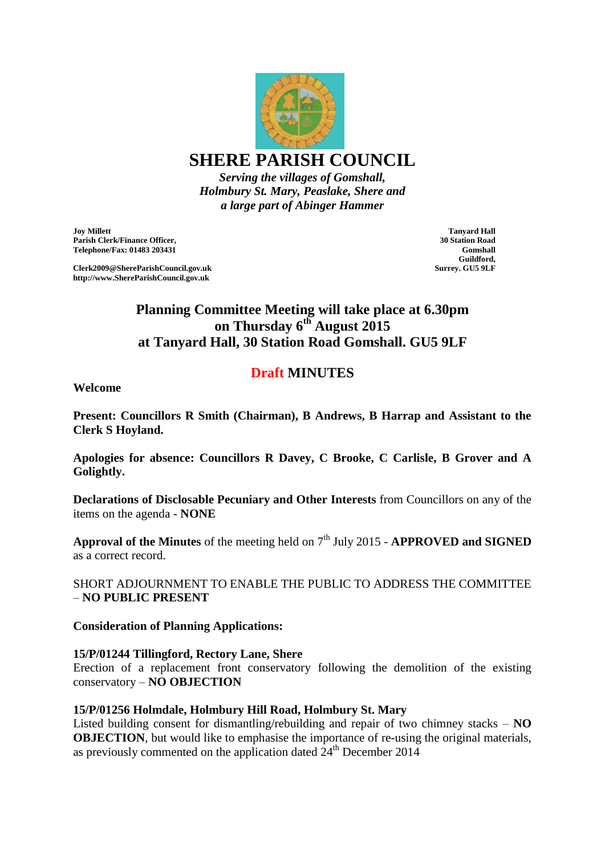

*Serving the villages of Gomshall, Holmbury St. Mary, Peaslake, Shere and a large part of Abinger Hammer*

**Joy Millett Parish Clerk/Finance Officer, Telephone/Fax: 01483 203431**

**Clerk2009@ShereParishCouncil.gov.uk http://www.ShereParishCouncil.gov.uk**

**Tanyard Hall 30 Station Road Gomshall Guildford, Surrey. GU5 9LF**

# **Planning Committee Meeting will take place at 6.30pm on Thursday 6th August 2015 at Tanyard Hall, 30 Station Road Gomshall. GU5 9LF**

# **Draft MINUTES**

**Welcome** 

**Present: Councillors R Smith (Chairman), B Andrews, B Harrap and Assistant to the Clerk S Hoyland.**

**Apologies for absence: Councillors R Davey, C Brooke, C Carlisle, B Grover and A Golightly.**

**Declarations of Disclosable Pecuniary and Other Interests** from Councillors on any of the items on the agenda - **NONE**

Approval of the Minutes of the meeting held on 7<sup>th</sup> July 2015 - **APPROVED and SIGNED** as a correct record.

SHORT ADJOURNMENT TO ENABLE THE PUBLIC TO ADDRESS THE COMMITTEE – **NO PUBLIC PRESENT**

**Consideration of Planning Applications:**

#### **15/P/01244 Tillingford, Rectory Lane, Shere**

Erection of a replacement front conservatory following the demolition of the existing conservatory – **NO OBJECTION**

#### **15/P/01256 Holmdale, Holmbury Hill Road, Holmbury St. Mary**

Listed building consent for dismantling/rebuilding and repair of two chimney stacks – **NO OBJECTION**, but would like to emphasise the importance of re-using the original materials, as previously commented on the application dated  $24<sup>th</sup>$  December 2014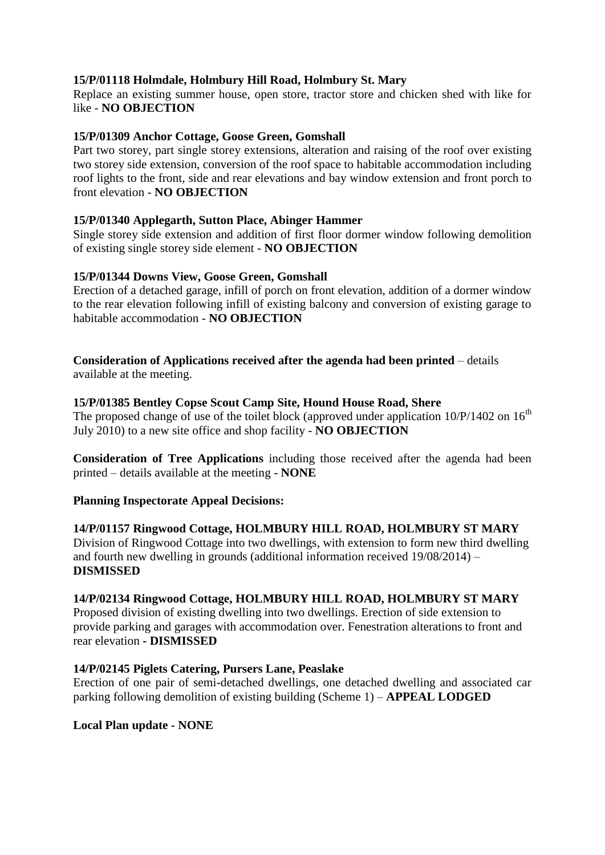### **15/P/01118 Holmdale, Holmbury Hill Road, Holmbury St. Mary**

Replace an existing summer house, open store, tractor store and chicken shed with like for like - **NO OBJECTION**

#### **15/P/01309 Anchor Cottage, Goose Green, Gomshall**

Part two storey, part single storey extensions, alteration and raising of the roof over existing two storey side extension, conversion of the roof space to habitable accommodation including roof lights to the front, side and rear elevations and bay window extension and front porch to front elevation - **NO OBJECTION**

#### **15/P/01340 Applegarth, Sutton Place, Abinger Hammer**

Single storey side extension and addition of first floor dormer window following demolition of existing single storey side element - **NO OBJECTION**

#### **15/P/01344 Downs View, Goose Green, Gomshall**

Erection of a detached garage, infill of porch on front elevation, addition of a dormer window to the rear elevation following infill of existing balcony and conversion of existing garage to habitable accommodation - **NO OBJECTION**

**Consideration of Applications received after the agenda had been printed** – details available at the meeting.

#### **15/P/01385 Bentley Copse Scout Camp Site, Hound House Road, Shere**

The proposed change of use of the toilet block (approved under application  $10/P/1402$  on  $16<sup>th</sup>$ July 2010) to a new site office and shop facility - **NO OBJECTION**

**Consideration of Tree Applications** including those received after the agenda had been printed – details available at the meeting - **NONE**

#### **Planning Inspectorate Appeal Decisions:**

#### **14/P/01157 Ringwood Cottage, HOLMBURY HILL ROAD, HOLMBURY ST MARY** Division of Ringwood Cottage into two dwellings, with extension to form new third dwelling and fourth new dwelling in grounds (additional information received 19/08/2014) – **DISMISSED**

## **14/P/02134 Ringwood Cottage, HOLMBURY HILL ROAD, HOLMBURY ST MARY**

Proposed division of existing dwelling into two dwellings. Erection of side extension to provide parking and garages with accommodation over. Fenestration alterations to front and rear elevation **- DISMISSED**

#### **14/P/02145 Piglets Catering, Pursers Lane, Peaslake**

Erection of one pair of semi-detached dwellings, one detached dwelling and associated car parking following demolition of existing building (Scheme 1) – **APPEAL LODGED**

**Local Plan update - NONE**